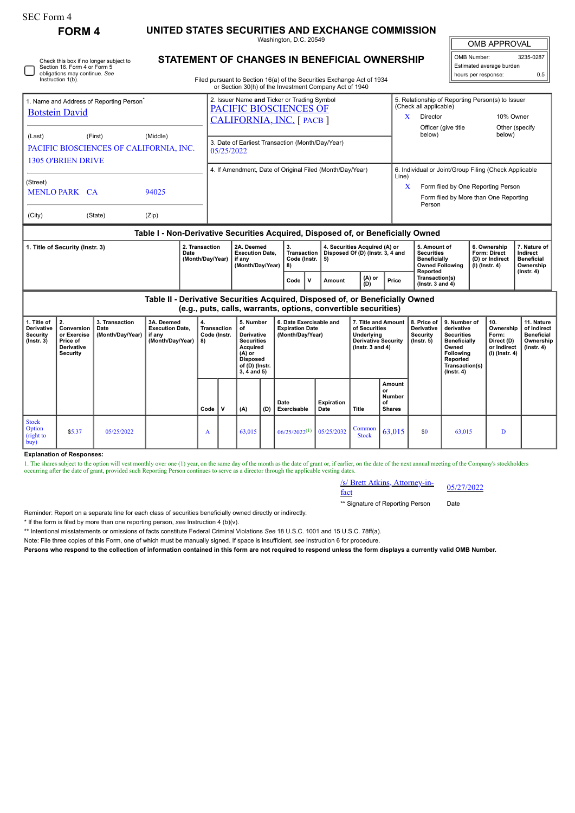| <b>SEC Form 4</b>                                                                                                            | <b>FORM4</b>                                                          |                                                    | UNITED STATES SECURITIES AND EXCHANGE COMMISSION                                 |              |                                                                                                                                                                                  |                                                                                                                                       |      |                                                                       |      |                                                                   |                                                                                               |                                                      |                                                                                                                                                              |                                                                                                                                                       |                                                                                    |                                                                          |                                                                                 |
|------------------------------------------------------------------------------------------------------------------------------|-----------------------------------------------------------------------|----------------------------------------------------|----------------------------------------------------------------------------------|--------------|----------------------------------------------------------------------------------------------------------------------------------------------------------------------------------|---------------------------------------------------------------------------------------------------------------------------------------|------|-----------------------------------------------------------------------|------|-------------------------------------------------------------------|-----------------------------------------------------------------------------------------------|------------------------------------------------------|--------------------------------------------------------------------------------------------------------------------------------------------------------------|-------------------------------------------------------------------------------------------------------------------------------------------------------|------------------------------------------------------------------------------------|--------------------------------------------------------------------------|---------------------------------------------------------------------------------|
|                                                                                                                              |                                                                       |                                                    |                                                                                  |              | Washington, D.C. 20549                                                                                                                                                           |                                                                                                                                       |      |                                                                       |      |                                                                   |                                                                                               |                                                      |                                                                                                                                                              |                                                                                                                                                       | <b>OMB APPROVAL</b>                                                                |                                                                          |                                                                                 |
| Check this box if no longer subject to<br>Section 16. Form 4 or Form 5<br>obligations may continue. See<br>Instruction 1(b). |                                                                       |                                                    |                                                                                  |              | STATEMENT OF CHANGES IN BENEFICIAL OWNERSHIP<br>Filed pursuant to Section 16(a) of the Securities Exchange Act of 1934<br>or Section 30(h) of the Investment Company Act of 1940 |                                                                                                                                       |      |                                                                       |      |                                                                   |                                                                                               |                                                      |                                                                                                                                                              |                                                                                                                                                       | OMB Number:<br>3235-0287<br>Estimated average burden<br>hours per response:<br>0.5 |                                                                          |                                                                                 |
| 1. Name and Address of Reporting Person <sup>®</sup><br><b>Botstein David</b>                                                |                                                                       |                                                    |                                                                                  |              | 2. Issuer Name and Ticker or Trading Symbol<br>PACIFIC BIOSCIENCES OF<br>CALIFORNIA, INC. [ PACB ]                                                                               |                                                                                                                                       |      |                                                                       |      |                                                                   |                                                                                               |                                                      | 5. Relationship of Reporting Person(s) to Issuer<br>(Check all applicable)<br>$\mathbf{X}$<br>Director                                                       |                                                                                                                                                       |                                                                                    | 10% Owner                                                                |                                                                                 |
| (Last)                                                                                                                       | <b>1305 O'BRIEN DRIVE</b>                                             | (First)<br>PACIFIC BIOSCIENCES OF CALIFORNIA, INC. | (Middle)                                                                         |              | 3. Date of Earliest Transaction (Month/Day/Year)<br>05/25/2022                                                                                                                   |                                                                                                                                       |      |                                                                       |      |                                                                   |                                                                                               |                                                      | below)                                                                                                                                                       | Officer (give title                                                                                                                                   |                                                                                    | Other (specify<br>below)                                                 |                                                                                 |
| (Street)<br><b>MENLO PARK CA</b>                                                                                             |                                                                       |                                                    | 94025                                                                            |              |                                                                                                                                                                                  |                                                                                                                                       |      | 4. If Amendment, Date of Original Filed (Month/Day/Year)              |      |                                                                   |                                                                                               |                                                      | 6. Individual or Joint/Group Filing (Check Applicable<br>Line)<br>Form filed by One Reporting Person<br>X<br>Form filed by More than One Reporting<br>Person |                                                                                                                                                       |                                                                                    |                                                                          |                                                                                 |
| (City)<br>(State)<br>(Zip)                                                                                                   |                                                                       |                                                    |                                                                                  |              |                                                                                                                                                                                  |                                                                                                                                       |      |                                                                       |      |                                                                   |                                                                                               |                                                      |                                                                                                                                                              |                                                                                                                                                       |                                                                                    |                                                                          |                                                                                 |
|                                                                                                                              |                                                                       |                                                    | Table I - Non-Derivative Securities Acquired, Disposed of, or Beneficially Owned |              |                                                                                                                                                                                  |                                                                                                                                       |      |                                                                       |      |                                                                   |                                                                                               |                                                      |                                                                                                                                                              |                                                                                                                                                       |                                                                                    |                                                                          |                                                                                 |
| 2. Transaction<br>1. Title of Security (Instr. 3)<br>Date<br>(Month/Day/Year)                                                |                                                                       |                                                    |                                                                                  |              | 2A. Deemed<br><b>Execution Date,</b><br>if any<br>(Month/Day/Year)                                                                                                               |                                                                                                                                       |      | 3.<br><b>Transaction</b><br>Code (Instr.<br>8)                        | 5)   | 4. Securities Acquired (A) or<br>Disposed Of (D) (Instr. 3, 4 and |                                                                                               |                                                      | 5. Amount of<br><b>Securities</b><br><b>Beneficially</b><br><b>Owned Following</b><br>Reported                                                               |                                                                                                                                                       |                                                                                    | 6. Ownership<br>Form: Direct<br>(D) or Indirect<br>(I) (Instr. 4)        | 7. Nature of<br>Indirect<br><b>Beneficial</b><br>Ownership                      |
|                                                                                                                              |                                                                       |                                                    |                                                                                  |              |                                                                                                                                                                                  |                                                                                                                                       | Code | $\mathbf v$<br>Amount                                                 |      | (A) or<br>(D)                                                     | Price                                                                                         | Transaction(s)<br>(Instr. $3$ and $4$ )              |                                                                                                                                                              |                                                                                                                                                       |                                                                                    | $($ Instr. 4 $)$                                                         |                                                                                 |
|                                                                                                                              |                                                                       |                                                    | Table II - Derivative Securities Acquired, Disposed of, or Beneficially Owned    |              |                                                                                                                                                                                  |                                                                                                                                       |      | (e.g., puts, calls, warrants, options, convertible securities)        |      |                                                                   |                                                                                               |                                                      |                                                                                                                                                              |                                                                                                                                                       |                                                                                    |                                                                          |                                                                                 |
| 1. Title of<br><b>Derivative</b><br><b>Security</b><br>$($ Instr. $3)$                                                       | 2.<br>Conversion<br>or Exercise<br>Price of<br>Derivative<br>Security | 3. Transaction<br>Date<br>(Month/Day/Year)         | 3A. Deemed<br><b>Execution Date.</b><br>if any<br>(Month/Day/Year)               | 4.<br>8)     | <b>Transaction</b><br>Code (Instr.                                                                                                                                               | 5. Number<br>of<br><b>Derivative</b><br><b>Securities</b><br>Acquired<br>$(A)$ or<br><b>Disposed</b><br>of (D) (Instr.<br>3, 4 and 5) |      | 6. Date Exercisable and<br><b>Expiration Date</b><br>(Month/Day/Year) |      |                                                                   | 7. Title and Amount<br>of Securities<br>Underlying<br>Derivative Security<br>(Instr. 3 and 4) |                                                      | 8. Price of<br><b>Derivative</b><br>Security<br>$($ Instr. $5)$                                                                                              | 9. Number of<br>derivative<br><b>Securities</b><br><b>Beneficially</b><br>Owned<br><b>Following</b><br>Reported<br>Transaction(s)<br>$($ Instr. 4 $)$ |                                                                                    | 10.<br>Ownership<br>Form:<br>Direct (D)<br>or Indirect<br>(I) (Instr. 4) | 11. Nature<br>of Indirect<br><b>Beneficial</b><br>Ownership<br>$($ lnstr. 4 $)$ |
|                                                                                                                              |                                                                       |                                                    |                                                                                  | Code         | v                                                                                                                                                                                | (A)                                                                                                                                   | (D)  | Date<br>Exercisable                                                   | Date | <b>Expiration</b>                                                 | <b>Title</b>                                                                                  | <b>Amount</b><br>or<br>Number<br>of<br><b>Shares</b> |                                                                                                                                                              |                                                                                                                                                       |                                                                                    |                                                                          |                                                                                 |
| <b>Stock</b><br>Option<br>(right to<br>buv                                                                                   | \$5.37                                                                | 05/25/2022                                         |                                                                                  | $\mathbf{A}$ |                                                                                                                                                                                  | 63.015                                                                                                                                |      | $06/25/2022^{(1)}$                                                    |      | 05/25/2032                                                        | Common<br><b>Stock</b>                                                                        | 63.015                                               | \$0                                                                                                                                                          | 63,015                                                                                                                                                |                                                                                    | D                                                                        |                                                                                 |

**Explanation of Responses:**

1. The shares subject to the option will vest monthly over one (1) year, on the same day of the month as the date of grant or, if earlier, on the date of the next annual meeting of the Company's stockholders occurring afte

/s/ Brett Atkins, Attorney-in-<br>fact

\*\* Signature of Reporting Person Date

Reminder: Report on a separate line for each class of securities beneficially owned directly or indirectly.

\* If the form is filed by more than one reporting person, *see* Instruction 4 (b)(v).

\*\* Intentional misstatements or omissions of facts constitute Federal Criminal Violations *See* 18 U.S.C. 1001 and 15 U.S.C. 78ff(a).

Note: File three copies of this Form, one of which must be manually signed. If space is insufficient, *see* Instruction 6 for procedure.

**Persons who respond to the collection of information contained in this form are not required to respond unless the form displays a currently valid OMB Number.**